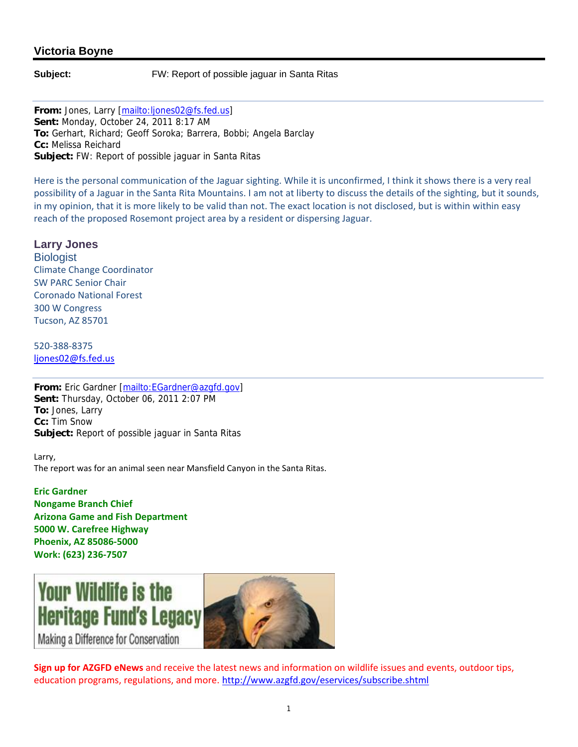## **Victoria Boyne**

**Subject:** FW: Report of possible jaguar in Santa Ritas

**From:** Jones, Larry [mailto:ljones02@fs.fed.us] **Sent:** Monday, October 24, 2011 8:17 AM **To:** Gerhart, Richard; Geoff Soroka; Barrera, Bobbi; Angela Barclay **Cc:** Melissa Reichard **Subject:** FW: Report of possible jaguar in Santa Ritas

Here is the personal communication of the Jaguar sighting. While it is unconfirmed, I think it shows there is a very real possibility of a Jaguar in the Santa Rita Mountains. I am not at liberty to discuss the details of the sighting, but it sounds, in my opinion, that it is more likely to be valid than not. The exact location is not disclosed, but is within within easy reach of the proposed Rosemont project area by a resident or dispersing Jaguar.

**Larry Jones Biologist** Climate Change Coordinator SW PARC Senior Chair Coronado National Forest 300 W Congress Tucson, AZ 85701

520‐388‐8375 ljones02@fs.fed.us

**From:** Eric Gardner [mailto:EGardner@azgfd.gov] **Sent:** Thursday, October 06, 2011 2:07 PM **To:** Jones, Larry **Cc:** Tim Snow **Subject:** Report of possible jaguar in Santa Ritas

Larry, The report was for an animal seen near Mansfield Canyon in the Santa Ritas.

**Eric Gardner Nongame Branch Chief Arizona Game and Fish Department 5000 W. Carefree Highway Phoenix, AZ 85086‐5000 Work: (623) 236‐7507**



**Sign up for AZGFD eNews** and receive the latest news and information on wildlife issues and events, outdoor tips, education programs, regulations, and more. http://www.azgfd.gov/eservices/subscribe.shtml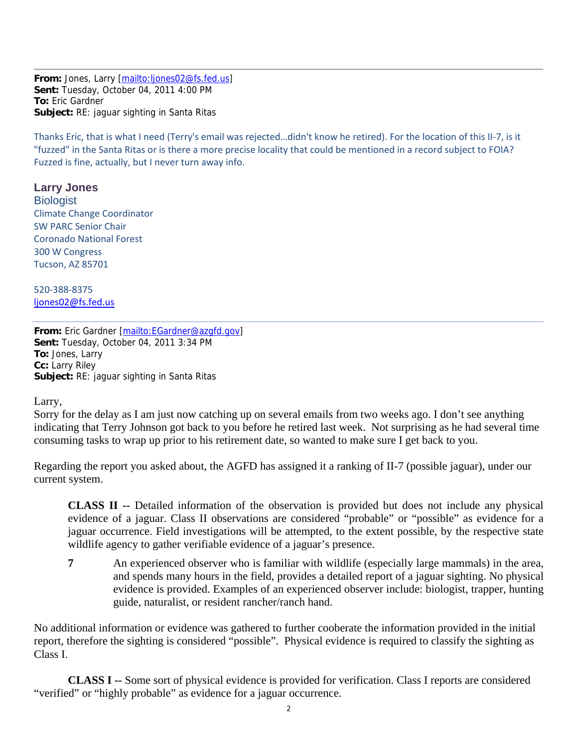**From:** Jones, Larry [mailto:ljones02@fs.fed.us] **Sent:** Tuesday, October 04, 2011 4:00 PM **To:** Eric Gardner **Subject:** RE: jaguar sighting in Santa Ritas

Thanks Eric, that is what I need (Terry's email was rejected…didn't know he retired). For the location of this II‐7, is it "fuzzed" in the Santa Ritas or is there a more precise locality that could be mentioned in a record subject to FOIA? Fuzzed is fine, actually, but I never turn away info.

## **Larry Jones**

**Biologist** Climate Change Coordinator SW PARC Senior Chair Coronado National Forest 300 W Congress Tucson, AZ 85701

520‐388‐8375 ljones02@fs.fed.us

From: Eric Gardner [mailto: EGardner@azgfd.gov] **Sent:** Tuesday, October 04, 2011 3:34 PM **To:** Jones, Larry **Cc:** Larry Riley **Subject:** RE: jaguar sighting in Santa Ritas

Larry,

Sorry for the delay as I am just now catching up on several emails from two weeks ago. I don't see anything indicating that Terry Johnson got back to you before he retired last week. Not surprising as he had several time consuming tasks to wrap up prior to his retirement date, so wanted to make sure I get back to you.

Regarding the report you asked about, the AGFD has assigned it a ranking of II-7 (possible jaguar), under our current system.

**CLASS II --** Detailed information of the observation is provided but does not include any physical evidence of a jaguar. Class II observations are considered "probable" or "possible" as evidence for a jaguar occurrence. Field investigations will be attempted, to the extent possible, by the respective state wildlife agency to gather verifiable evidence of a jaguar's presence.

**7** An experienced observer who is familiar with wildlife (especially large mammals) in the area, and spends many hours in the field, provides a detailed report of a jaguar sighting. No physical evidence is provided. Examples of an experienced observer include: biologist, trapper, hunting guide, naturalist, or resident rancher/ranch hand.

No additional information or evidence was gathered to further cooberate the information provided in the initial report, therefore the sighting is considered "possible". Physical evidence is required to classify the sighting as Class I.

**CLASS I --** Some sort of physical evidence is provided for verification. Class I reports are considered "verified" or "highly probable" as evidence for a jaguar occurrence.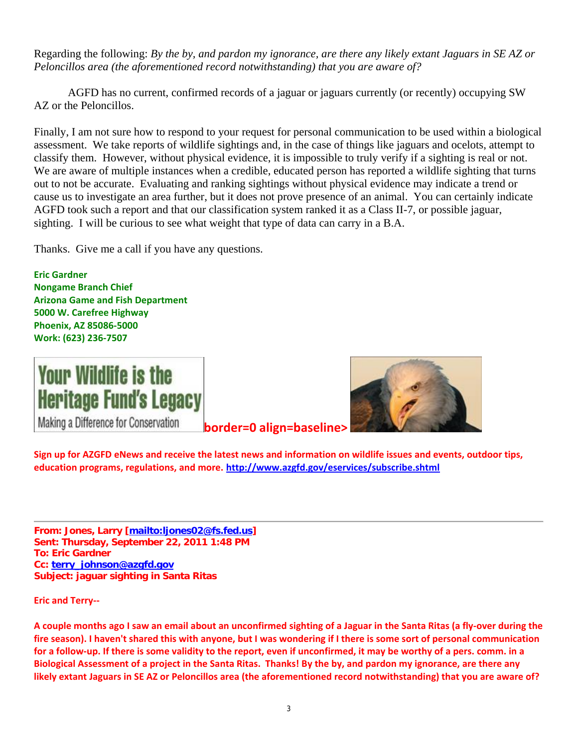Regarding the following: *By the by, and pardon my ignorance, are there any likely extant Jaguars in SE AZ or Peloncillos area (the aforementioned record notwithstanding) that you are aware of?* 

AGFD has no current, confirmed records of a jaguar or jaguars currently (or recently) occupying SW AZ or the Peloncillos.

Finally, I am not sure how to respond to your request for personal communication to be used within a biological assessment. We take reports of wildlife sightings and, in the case of things like jaguars and ocelots, attempt to classify them. However, without physical evidence, it is impossible to truly verify if a sighting is real or not. We are aware of multiple instances when a credible, educated person has reported a wildlife sighting that turns out to not be accurate. Evaluating and ranking sightings without physical evidence may indicate a trend or cause us to investigate an area further, but it does not prove presence of an animal. You can certainly indicate AGFD took such a report and that our classification system ranked it as a Class II-7, or possible jaguar, sighting. I will be curious to see what weight that type of data can carry in a B.A.

Thanks. Give me a call if you have any questions.

**Eric Gardner Nongame Branch Chief Arizona Game and Fish Department 5000 W. Carefree Highway Phoenix, AZ 85086‐5000 Work: (623) 236‐7507**



Making a Difference for Conservation

**border=0 align=baseline>**



Sign up for AZGFD eNews and receive the latest news and information on wildlife issues and events, outdoor tips, **education programs, regulations, and more. http://www.azgfd.gov/eservices/subscribe.shtml** 

**From: Jones, Larry [mailto:ljones02@fs.fed.us] Sent: Thursday, September 22, 2011 1:48 PM To: Eric Gardner Cc: terry\_johnson@azgfd.gov Subject: jaguar sighting in Santa Ritas**

**Eric and Terry‐‐** 

A couple months ago I saw an email about an unconfirmed sighting of a Jaguar in the Santa Ritas (a fly-over during the fire season). I haven't shared this with anyone, but I was wondering if I there is some sort of personal communication for a follow-up. If there is some validity to the report, even if unconfirmed, it may be worthy of a pers. comm. in a Biological Assessment of a project in the Santa Ritas. Thanks! By the by, and pardon my ignorance, are there any likely extant Jaguars in SE AZ or Peloncillos area (the aforementioned record notwithstanding) that you are aware of?